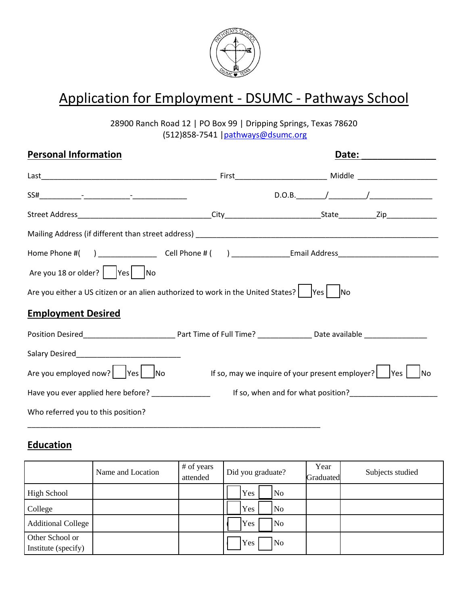

## Application for Employment - DSUMC - Pathways School

28900 Ranch Road 12 | PO Box 99 | Dripping Springs, Texas 78620 (512)858-7541 [|pathways@dsumc.org](mailto:pathways@dsumc.org)

| <b>Personal Information</b>                                                                                           |                                                                     | Date: <u>www.community.com</u>                                                                                                                                                                                                        |
|-----------------------------------------------------------------------------------------------------------------------|---------------------------------------------------------------------|---------------------------------------------------------------------------------------------------------------------------------------------------------------------------------------------------------------------------------------|
|                                                                                                                       |                                                                     |                                                                                                                                                                                                                                       |
|                                                                                                                       |                                                                     |                                                                                                                                                                                                                                       |
|                                                                                                                       |                                                                     |                                                                                                                                                                                                                                       |
|                                                                                                                       |                                                                     |                                                                                                                                                                                                                                       |
|                                                                                                                       |                                                                     |                                                                                                                                                                                                                                       |
| Are you 18 or older?    Yes   No                                                                                      |                                                                     |                                                                                                                                                                                                                                       |
| Are you either a US citizen or an alien authorized to work in the United States? $\vert \quad  $ Yes $\vert \quad$ No |                                                                     |                                                                                                                                                                                                                                       |
| <b>Employment Desired</b>                                                                                             |                                                                     |                                                                                                                                                                                                                                       |
|                                                                                                                       |                                                                     |                                                                                                                                                                                                                                       |
|                                                                                                                       |                                                                     |                                                                                                                                                                                                                                       |
| Are you employed now? $ $ $ $ Yes $ $ No                                                                              | If so, may we inquire of your present employer? $\vert$ Yes $\vert$ | <b>No</b>                                                                                                                                                                                                                             |
| Have you ever applied here before? _______________                                                                    |                                                                     | If so, when and for what position?<br><u>Lettischer</u> Constanting the same of the same of the same of the same of the same of the same of the same of the same of the same of the same of the same of the same of the same of the s |
| Who referred you to this position?                                                                                    |                                                                     |                                                                                                                                                                                                                                       |

## **Education**

|                           | Name and Location | # of years<br>attended | Did you graduate?          | Year<br>Graduated | Subjects studied |
|---------------------------|-------------------|------------------------|----------------------------|-------------------|------------------|
| <b>High School</b>        |                   |                        | Yes<br>No                  |                   |                  |
| College                   |                   |                        | $\overline{\rm No}$<br>Yes |                   |                  |
| <b>Additional College</b> |                   |                        | N <sub>0</sub><br>Yes      |                   |                  |
| Other School or           |                   |                        | N <sub>o</sub><br>Yes      |                   |                  |
| Institute (specify)       |                   |                        |                            |                   |                  |

\_\_\_\_\_\_\_\_\_\_\_\_\_\_\_\_\_\_\_\_\_\_\_\_\_\_\_\_\_\_\_\_\_\_\_\_\_\_\_\_\_\_\_\_\_\_\_\_\_\_\_\_\_\_\_\_\_\_\_\_\_\_\_\_\_\_\_\_\_\_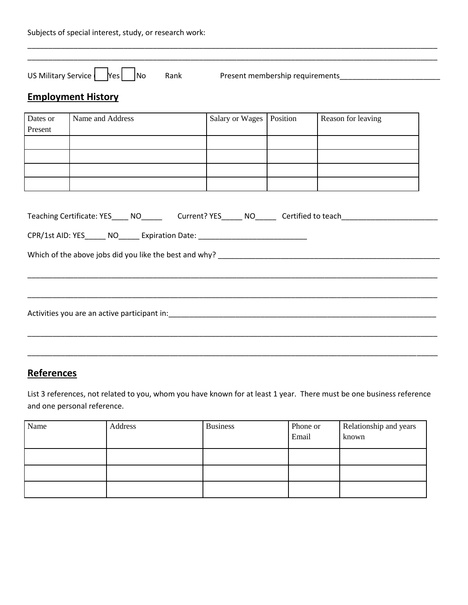|                     | US Military Service   Pes   No                                                                                   | Rank                       | Present membership requirements |
|---------------------|------------------------------------------------------------------------------------------------------------------|----------------------------|---------------------------------|
|                     | <b>Employment History</b>                                                                                        |                            |                                 |
| Dates or<br>Present | Name and Address                                                                                                 | Salary or Wages   Position | Reason for leaving              |
|                     |                                                                                                                  |                            |                                 |
|                     | Teaching Certificate: YES_____ NO___________ Current? YES_______ NO_______ Certified to teach_________________   |                            |                                 |
|                     | CPR/1st AID: YES ______ NO______ Expiration Date: ______________________________                                 |                            |                                 |
|                     |                                                                                                                  |                            |                                 |
|                     |                                                                                                                  |                            |                                 |
|                     |                                                                                                                  |                            |                                 |
|                     | Activities you are an active participant in: Activities and Activities you are an activities of the state of the |                            |                                 |

\_\_\_\_\_\_\_\_\_\_\_\_\_\_\_\_\_\_\_\_\_\_\_\_\_\_\_\_\_\_\_\_\_\_\_\_\_\_\_\_\_\_\_\_\_\_\_\_\_\_\_\_\_\_\_\_\_\_\_\_\_\_\_\_\_\_\_\_\_\_\_\_\_\_\_\_\_\_\_\_\_\_\_\_\_\_\_\_\_\_\_\_\_\_\_\_\_\_

## **References**

List 3 references, not related to you, whom you have known for at least 1 year. There must be one business reference and one personal reference.

| Name | Address | <b>Business</b> | Phone or<br>Email | Relationship and years<br>known |
|------|---------|-----------------|-------------------|---------------------------------|
|      |         |                 |                   |                                 |
|      |         |                 |                   |                                 |
|      |         |                 |                   |                                 |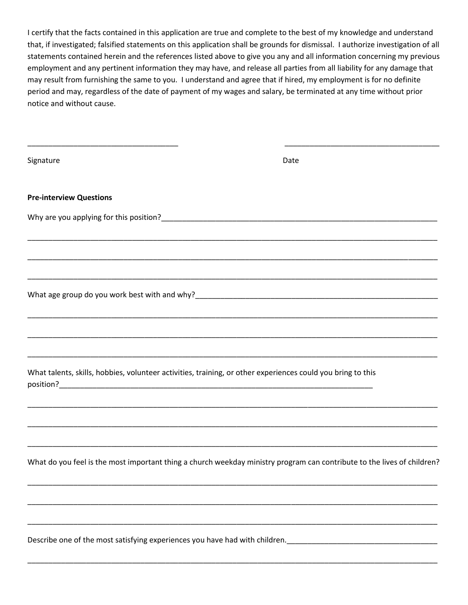I certify that the facts contained in this application are true and complete to the best of my knowledge and understand that, if investigated; falsified statements on this application shall be grounds for dismissal. I authorize investigation of all statements contained herein and the references listed above to give you any and all information concerning my previous employment and any pertinent information they may have, and release all parties from all liability for any damage that may result from furnishing the same to you. I understand and agree that if hired, my employment is for no definite period and may, regardless of the date of payment of my wages and salary, be terminated at any time without prior notice and without cause.

| Signature                                                                                                   | Date                                                                                                                    |
|-------------------------------------------------------------------------------------------------------------|-------------------------------------------------------------------------------------------------------------------------|
| <b>Pre-interview Questions</b>                                                                              |                                                                                                                         |
|                                                                                                             |                                                                                                                         |
|                                                                                                             |                                                                                                                         |
|                                                                                                             |                                                                                                                         |
|                                                                                                             |                                                                                                                         |
|                                                                                                             |                                                                                                                         |
| What talents, skills, hobbies, volunteer activities, training, or other experiences could you bring to this |                                                                                                                         |
|                                                                                                             |                                                                                                                         |
|                                                                                                             |                                                                                                                         |
|                                                                                                             | What do you feel is the most important thing a church weekday ministry program can contribute to the lives of children? |
|                                                                                                             |                                                                                                                         |
|                                                                                                             |                                                                                                                         |
|                                                                                                             |                                                                                                                         |